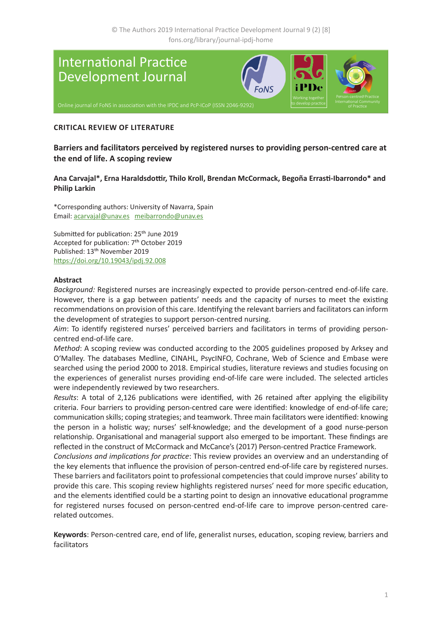

#### **CRITICAL REVIEW OF LITERATURE**

**Barriers and facilitators perceived by registered nurses to providing person-centred care at the end of life. A scoping review**

#### **Ana Carvajal\*, Erna Haraldsdottir, Thilo Kroll, Brendan McCormack, Begoña Errasti-Ibarrondo\* and Philip Larkin**

\*Corresponding authors: University of Navarra, Spain Email: [acarvajal@unav.es](mailto:acarvajal%40unav.es?subject=) [meibarrondo@unav.es](mailto:meibarrondo%40unav.es?subject=)

Submitted for publication: 25<sup>th</sup> June 2019 Accepted for publication: 7th October 2019 Published: 13th November 2019 <https://doi.org/10.19043/ipdj.92.008>

#### **Abstract**

*Background:* Registered nurses are increasingly expected to provide person-centred end-of-life care. However, there is a gap between patients' needs and the capacity of nurses to meet the existing recommendations on provision of this care. Identifying the relevant barriers and facilitators can inform the development of strategies to support person-centred nursing.

*Aim*: To identify registered nurses' perceived barriers and facilitators in terms of providing personcentred end-of-life care.

*Method*: A scoping review was conducted according to the 2005 guidelines proposed by Arksey and O'Malley. The databases Medline, CINAHL, PsycINFO, Cochrane, Web of Science and Embase were searched using the period 2000 to 2018. Empirical studies, literature reviews and studies focusing on the experiences of generalist nurses providing end-of-life care were included. The selected articles were independently reviewed by two researchers.

*Results*: A total of 2,126 publications were identified, with 26 retained after applying the eligibility criteria. Four barriers to providing person-centred care were identified: knowledge of end-of-life care; communication skills; coping strategies; and teamwork. Three main facilitators were identified: knowing the person in a holistic way; nurses' self-knowledge; and the development of a good nurse-person relationship. Organisational and managerial support also emerged to be important. These findings are reflected in the construct of McCormack and McCance's (2017) Person-centred Practice Framework.

*Conclusions and implications for practice*: This review provides an overview and an understanding of the key elements that influence the provision of person-centred end-of-life care by registered nurses. These barriers and facilitators point to professional competencies that could improve nurses' ability to provide this care. This scoping review highlights registered nurses' need for more specific education, and the elements identified could be a starting point to design an innovative educational programme for registered nurses focused on person-centred end-of-life care to improve person-centred carerelated outcomes.

**Keywords**: Person-centred care, end of life, generalist nurses, education, scoping review, barriers and facilitators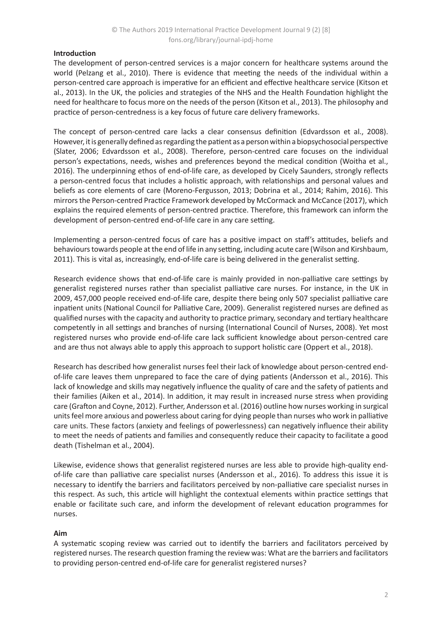### **Introduction**

The development of person-centred services is a major concern for healthcare systems around the world (Pelzang et al., 2010). There is evidence that meeting the needs of the individual within a person-centred care approach is imperative for an efficient and effective healthcare service (Kitson et al., 2013). In the UK, the policies and strategies of the NHS and the Health Foundation highlight the need for healthcare to focus more on the needs of the person (Kitson et al., 2013). The philosophy and practice of person-centredness is a key focus of future care delivery frameworks.

The concept of person-centred care lacks a clear consensus definition (Edvardsson et al., 2008). However, it is generally defined as regarding the patient as a person within a biopsychosocial perspective (Slater, 2006; Edvardsson et al., 2008). Therefore, person-centred care focuses on the individual person's expectations, needs, wishes and preferences beyond the medical condition (Woitha et al., 2016). The underpinning ethos of end-of-life care, as developed by Cicely Saunders, strongly reflects a person-centred focus that includes a holistic approach, with relationships and personal values and beliefs as core elements of care (Moreno-Fergusson, 2013; Dobrina et al., 2014; Rahim, 2016). This mirrors the Person-centred Practice Framework developed by McCormack and McCance (2017), which explains the required elements of person-centred practice. Therefore, this framework can inform the development of person-centred end-of-life care in any care setting.

Implementing a person-centred focus of care has a positive impact on staff's attitudes, beliefs and behaviours towards people at the end of life in any setting, including acute care (Wilson and Kirshbaum, 2011). This is vital as, increasingly, end-of-life care is being delivered in the generalist setting.

Research evidence shows that end-of-life care is mainly provided in non-palliative care settings by generalist registered nurses rather than specialist palliative care nurses. For instance, in the UK in 2009, 457,000 people received end-of-life care, despite there being only 507 specialist palliative care inpatient units (National Council for Palliative Care, 2009). Generalist registered nurses are defined as qualified nurses with the capacity and authority to practice primary, secondary and tertiary healthcare competently in all settings and branches of nursing (International Council of Nurses, 2008). Yet most registered nurses who provide end-of-life care lack sufficient knowledge about person-centred care and are thus not always able to apply this approach to support holistic care (Oppert et al., 2018).

Research has described how generalist nurses feel their lack of knowledge about person-centred endof-life care leaves them unprepared to face the care of dying patients (Andersson et al., 2016). This lack of knowledge and skills may negatively influence the quality of care and the safety of patients and their families (Aiken et al., 2014). In addition, it may result in increased nurse stress when providing care (Grafton and Coyne, 2012). Further, Andersson et al. (2016) outline how nurses working in surgical units feel more anxious and powerless about caring for dying people than nurses who work in palliative care units. These factors (anxiety and feelings of powerlessness) can negatively influence their ability to meet the needs of patients and families and consequently reduce their capacity to facilitate a good death (Tishelman et al., 2004).

Likewise, evidence shows that generalist registered nurses are less able to provide high-quality endof-life care than palliative care specialist nurses (Andersson et al., 2016). To address this issue it is necessary to identify the barriers and facilitators perceived by non-palliative care specialist nurses in this respect. As such, this article will highlight the contextual elements within practice settings that enable or facilitate such care, and inform the development of relevant education programmes for nurses.

#### **Aim**

A systematic scoping review was carried out to identify the barriers and facilitators perceived by registered nurses. The research question framing the review was: What are the barriers and facilitators to providing person-centred end-of-life care for generalist registered nurses?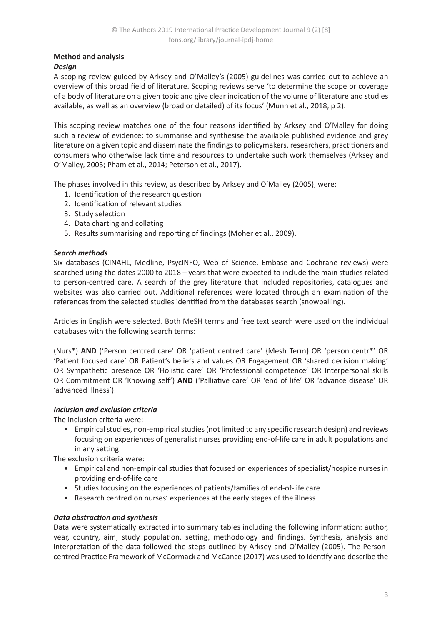# **Method and analysis**

## *Design*

A scoping review guided by Arksey and O'Malley's (2005) guidelines was carried out to achieve an overview of this broad field of literature. Scoping reviews serve 'to determine the scope or coverage of a body of literature on a given topic and give clear indication of the volume of literature and studies available, as well as an overview (broad or detailed) of its focus' (Munn et al., 2018, p 2).

This scoping review matches one of the four reasons identified by Arksey and O'Malley for doing such a review of evidence: to summarise and synthesise the available published evidence and grey literature on a given topic and disseminate the findings to policymakers, researchers, practitioners and consumers who otherwise lack time and resources to undertake such work themselves (Arksey and O'Malley, 2005; Pham et al., 2014; Peterson et al., 2017).

The phases involved in this review, as described by Arksey and O'Malley (2005), were:

- 1. Identification of the research question
- 2. Identification of relevant studies
- 3. Study selection
- 4. Data charting and collating
- 5. Results summarising and reporting of findings (Moher et al., 2009).

### *Search methods*

Six databases (CINAHL, Medline, PsycINFO, Web of Science, Embase and Cochrane reviews) were searched using the dates 2000 to 2018 – years that were expected to include the main studies related to person-centred care. A search of the grey literature that included repositories, catalogues and websites was also carried out. Additional references were located through an examination of the references from the selected studies identified from the databases search (snowballing).

Articles in English were selected. Both MeSH terms and free text search were used on the individual databases with the following search terms:

(Nurs\*) **AND** ('Person centred care' OR 'patient centred care' {Mesh Term} OR 'person centr\*' OR 'Patient focused care' OR Patient's beliefs and values OR Engagement OR 'shared decision making' OR Sympathetic presence OR 'Holistic care' OR 'Professional competence' OR Interpersonal skills OR Commitment OR 'Knowing self') **AND** ('Palliative care' OR 'end of life' OR 'advance disease' OR 'advanced illness').

### *Inclusion and exclusion criteria*

The inclusion criteria were:

• Empirical studies, non-empirical studies (not limited to any specific research design) and reviews focusing on experiences of generalist nurses providing end-of-life care in adult populations and in any setting

The exclusion criteria were:

- Empirical and non-empirical studies that focused on experiences of specialist/hospice nurses in providing end-of-life care
- Studies focusing on the experiences of patients/families of end-of-life care
- Research centred on nurses' experiences at the early stages of the illness

### *Data abstraction and synthesis*

Data were systematically extracted into summary tables including the following information: author, year, country, aim, study population, setting, methodology and findings. Synthesis, analysis and interpretation of the data followed the steps outlined by Arksey and O'Malley (2005). The Personcentred Practice Framework of McCormack and McCance (2017) was used to identify and describe the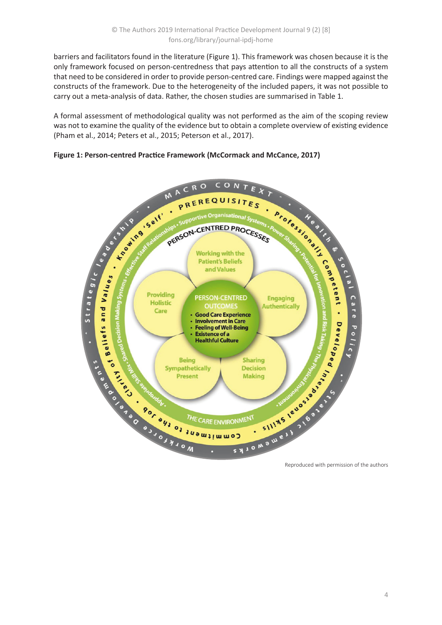barriers and facilitators found in the literature (Figure 1). This framework was chosen because it is the only framework focused on person-centredness that pays attention to all the constructs of a system that need to be considered in order to provide person-centred care. Findings were mapped against the constructs of the framework. Due to the heterogeneity of the included papers, it was not possible to carry out a meta-analysis of data. Rather, the chosen studies are summarised in Table 1.

A formal assessment of methodological quality was not performed as the aim of the scoping review was not to examine the quality of the evidence but to obtain a complete overview of existing evidence (Pham et al., 2014; Peters et al., 2015; Peterson et al., 2017).

## **Figure 1: Person-centred Practice Framework (McCormack and McCance, 2017)**



Reproduced with permission of the authors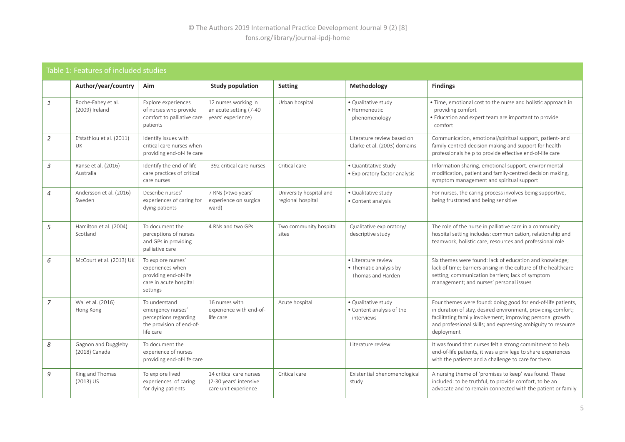# Table 1: Features of included studies

|                | Author/year/country                  | Aim                                                                                                   | <b>Study population</b>                                                   | <b>Setting</b>                               | Methodology                                                        | <b>Findings</b>                                                                                                                                                                                                                                                           |
|----------------|--------------------------------------|-------------------------------------------------------------------------------------------------------|---------------------------------------------------------------------------|----------------------------------------------|--------------------------------------------------------------------|---------------------------------------------------------------------------------------------------------------------------------------------------------------------------------------------------------------------------------------------------------------------------|
| 1              | Roche-Fahey et al.<br>(2009) Ireland | Explore experiences<br>of nurses who provide<br>comfort to palliative care<br>patients                | 12 nurses working in<br>an acute setting (7-40<br>years' experience)      | Urban hospital                               | • Qualitative study<br>· Hermeneutic<br>phenomenology              | • Time, emotional cost to the nurse and holistic approach in<br>providing comfort<br>• Education and expert team are important to provide<br>comfort                                                                                                                      |
| 2              | Efstathiou et al. (2011)<br>UK.      | Identify issues with<br>critical care nurses when<br>providing end-of-life care                       |                                                                           |                                              | Literature review based on<br>Clarke et al. (2003) domains         | Communication, emotional/spiritual support, patient- and<br>family-centred decision making and support for health<br>professionals help to provide effective end-of-life care                                                                                             |
| 3              | Ranse et al. (2016)<br>Australia     | Identify the end-of-life<br>care practices of critical<br>care nurses                                 | 392 critical care nurses                                                  | Critical care                                | • Quantitative study<br>• Exploratory factor analysis              | Information sharing, emotional support, environmental<br>modification, patient and family-centred decision making,<br>symptom management and spiritual support                                                                                                            |
| $\overline{4}$ | Andersson et al. (2016)<br>Sweden    | Describe nurses'<br>experiences of caring for<br>dying patients                                       | 7 RNs (>two years'<br>experience on surgical<br>ward)                     | University hospital and<br>regional hospital | • Qualitative study<br>• Content analysis                          | For nurses, the caring process involves being supportive,<br>being frustrated and being sensitive                                                                                                                                                                         |
| 5              | Hamilton et al. (2004)<br>Scotland   | To document the<br>perceptions of nurses<br>and GPs in providing<br>palliative care                   | 4 RNs and two GPs                                                         | Two community hospital<br>sites              | Qualitative exploratory/<br>descriptive study                      | The role of the nurse in palliative care in a community<br>hospital setting includes: communication, relationship and<br>teamwork, holistic care, resources and professional role                                                                                         |
| 6              | McCourt et al. (2013) UK             | To explore nurses'<br>experiences when<br>providing end-of-life<br>care in acute hospital<br>settings |                                                                           |                                              | • Literature review<br>• Thematic analysis by<br>Thomas and Harden | Six themes were found: lack of education and knowledge;<br>lack of time; barriers arising in the culture of the healthcare<br>setting; communication barriers; lack of symptom<br>management; and nurses' personal issues                                                 |
| $\overline{7}$ | Wai et al. (2016)<br>Hong Kong       | To understand<br>emergency nurses'<br>perceptions regarding<br>the provision of end-of-<br>life care  | 16 nurses with<br>experience with end-of-<br>life care                    | Acute hospital                               | • Qualitative study<br>• Content analysis of the<br>interviews     | Four themes were found: doing good for end-of-life patients,<br>in duration of stay, desired environment, providing comfort;<br>facilitating family involvement; improving personal growth<br>and professional skills; and expressing ambiguity to resource<br>deployment |
| 8              | Gagnon and Duggleby<br>(2018) Canada | To document the<br>experience of nurses<br>providing end-of-life care                                 |                                                                           |                                              | Literature review                                                  | It was found that nurses felt a strong commitment to help<br>end-of-life patients, it was a privilege to share experiences<br>with the patients and a challenge to care for them                                                                                          |
| 9              | King and Thomas<br>$(2013)$ US       | To explore lived<br>experiences of caring<br>for dying patients                                       | 14 critical care nurses<br>(2-30 years' intensive<br>care unit experience | Critical care                                | Existential phenomenological<br>study                              | A nursing theme of 'promises to keep' was found. These<br>included: to be truthful, to provide comfort, to be an<br>advocate and to remain connected with the patient or family                                                                                           |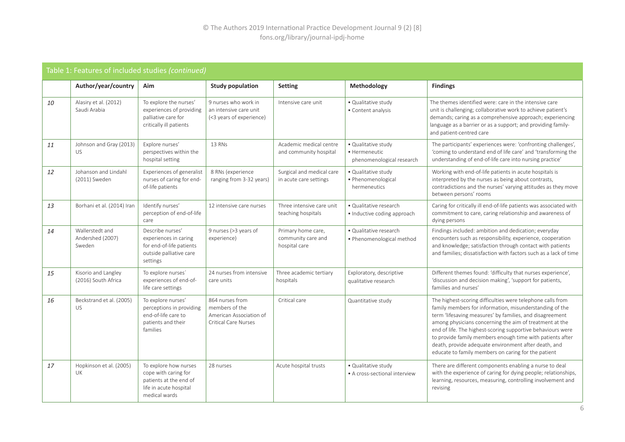| Table 1: Features of included studies (continued) |                                               |                                                                                                                    |                                                                                             |                                                           |                                                                   |                                                                                                                                                                                                                                                                                                                                                                                                                                                                                         |
|---------------------------------------------------|-----------------------------------------------|--------------------------------------------------------------------------------------------------------------------|---------------------------------------------------------------------------------------------|-----------------------------------------------------------|-------------------------------------------------------------------|-----------------------------------------------------------------------------------------------------------------------------------------------------------------------------------------------------------------------------------------------------------------------------------------------------------------------------------------------------------------------------------------------------------------------------------------------------------------------------------------|
|                                                   | Author/year/country                           | Aim                                                                                                                | <b>Study population</b>                                                                     | <b>Setting</b>                                            | Methodology                                                       | <b>Findings</b>                                                                                                                                                                                                                                                                                                                                                                                                                                                                         |
| 10                                                | Alasiry et al. (2012)<br>Saudi Arabia         | To explore the nurses'<br>experiences of providing<br>palliative care for<br>critically ill patients               | 9 nurses who work in<br>an intensive care unit<br>(<3 years of experience)                  | Intensive care unit                                       | • Qualitative study<br>• Content analysis                         | The themes identified were: care in the intensive care<br>unit is challenging; collaborative work to achieve patient's<br>demands; caring as a comprehensive approach; experiencing<br>language as a barrier or as a support; and providing family-<br>and patient-centred care                                                                                                                                                                                                         |
| 11                                                | Johnson and Gray (2013)<br><b>US</b>          | Explore nurses'<br>perspectives within the<br>hospital setting                                                     | 13 RNs                                                                                      | Academic medical centre<br>and community hospital         | · Qualitative study<br>• Hermeneutic<br>phenomenological research | The participants' experiences were: 'confronting challenges',<br>'coming to understand end of life care' and 'transforming the<br>understanding of end-of-life care into nursing practice'                                                                                                                                                                                                                                                                                              |
| 12                                                | Johanson and Lindahl<br>(2011) Sweden         | Experiences of generalist<br>nurses of caring for end-<br>of-life patients                                         | 8 RNs (experience<br>ranging from 3-32 years)                                               | Surgical and medical care<br>in acute care settings       | · Qualitative study<br>· Phenomenological<br>hermeneutics         | Working with end-of-life patients in acute hospitals is<br>interpreted by the nurses as being about contrasts,<br>contradictions and the nurses' varying attitudes as they move<br>between persons' rooms                                                                                                                                                                                                                                                                               |
| 13                                                | Borhani et al. (2014) Iran                    | Identify nurses'<br>perception of end-of-life<br>care                                                              | 12 intensive care nurses                                                                    | Three intensive care unit<br>teaching hospitals           | • Qualitative research<br>· Inductive coding approach             | Caring for critically ill end-of-life patients was associated with<br>commitment to care, caring relationship and awareness of<br>dying persons                                                                                                                                                                                                                                                                                                                                         |
| 14                                                | Wallerstedt and<br>Andershed (2007)<br>Sweden | Describe nurses'<br>experiences in caring<br>for end-of-life patients<br>outside palliative care<br>settings       | 9 nurses (>3 years of<br>experience)                                                        | Primary home care,<br>community care and<br>hospital care | · Qualitative research<br>· Phenomenological method               | Findings included: ambition and dedication; everyday<br>encounters such as responsibility, experience, cooperation<br>and knowledge; satisfaction through contact with patients<br>and families; dissatisfaction with factors such as a lack of time                                                                                                                                                                                                                                    |
| 15                                                | Kisorio and Langley<br>(2016) South Africa    | To explore nurses'<br>experiences of end-of-<br>life care settings                                                 | 24 nurses from intensive<br>care units                                                      | Three academic tertiary<br>hospitals                      | Exploratory, descriptive<br>qualitative research                  | Different themes found: 'difficulty that nurses experience',<br>'discussion and decision making', 'support for patients,<br>families and nurses'                                                                                                                                                                                                                                                                                                                                        |
| 16                                                | Beckstrand et al. (2005)<br><b>US</b>         | To explore nurses'<br>perceptions in providing<br>end-of-life care to<br>patients and their<br>families            | 864 nurses from<br>members of the<br>American Association of<br><b>Critical Care Nurses</b> | Critical care                                             | Quantitative study                                                | The highest-scoring difficulties were telephone calls from<br>family members for information, misunderstanding of the<br>term 'lifesaving measures' by families, and disagreement<br>among physicians concerning the aim of treatment at the<br>end of life. The highest-scoring supportive behaviours were<br>to provide family members enough time with patients after<br>death, provide adequate environment after death, and<br>educate to family members on caring for the patient |
| 17                                                | Hopkinson et al. (2005)<br>UK                 | To explore how nurses<br>cope with caring for<br>patients at the end of<br>life in acute hospital<br>medical wards | 28 nurses                                                                                   | Acute hospital trusts                                     | · Qualitative study<br>• A cross-sectional interview              | There are different components enabling a nurse to deal<br>with the experience of caring for dying people; relationships,<br>learning, resources, measuring, controlling involvement and<br>revising                                                                                                                                                                                                                                                                                    |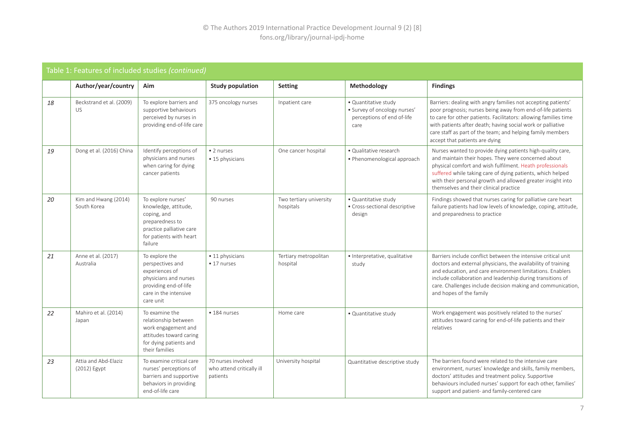| Table 1: Features of included studies (continued) |                                        |                                                                                                                                                |                                                             |                                      |                                                                                            |                                                                                                                                                                                                                                                                                                                                                                 |
|---------------------------------------------------|----------------------------------------|------------------------------------------------------------------------------------------------------------------------------------------------|-------------------------------------------------------------|--------------------------------------|--------------------------------------------------------------------------------------------|-----------------------------------------------------------------------------------------------------------------------------------------------------------------------------------------------------------------------------------------------------------------------------------------------------------------------------------------------------------------|
|                                                   | Author/year/country                    | Aim                                                                                                                                            | <b>Study population</b>                                     | <b>Setting</b>                       | Methodology                                                                                | <b>Findings</b>                                                                                                                                                                                                                                                                                                                                                 |
| 18                                                | Beckstrand et al. (2009)<br><b>US</b>  | To explore barriers and<br>supportive behaviours<br>perceived by nurses in<br>providing end-of-life care                                       | 375 oncology nurses                                         | Inpatient care                       | · Quantitative study<br>· Survey of oncology nurses'<br>perceptions of end of-life<br>care | Barriers: dealing with angry families not accepting patients'<br>poor prognosis; nurses being away from end-of-life patients<br>to care for other patients. Facilitators: allowing families time<br>with patients after death; having social work or palliative<br>care staff as part of the team; and helping family members<br>accept that patients are dying |
| 19                                                | Dong et al. (2016) China               | Identify perceptions of<br>physicians and nurses<br>when caring for dying<br>cancer patients                                                   | • 2 nurses<br>• 15 physicians                               | One cancer hospital                  | · Qualitative research<br>• Phenomenological approach                                      | Nurses wanted to provide dying patients high-quality care,<br>and maintain their hopes. They were concerned about<br>physical comfort and wish fulfilment. Heath professionals<br>suffered while taking care of dying patients, which helped<br>with their personal growth and allowed greater insight into<br>themselves and their clinical practice           |
| 20                                                | Kim and Hwang (2014)<br>South Korea    | To explore nurses'<br>knowledge, attitude,<br>coping, and<br>preparedness to<br>practice palliative care<br>for patients with heart<br>failure | 90 nurses                                                   | Two tertiary university<br>hospitals | • Quantitative study<br>• Cross-sectional descriptive<br>design                            | Findings showed that nurses caring for palliative care heart<br>failure patients had low levels of knowledge, coping, attitude,<br>and preparedness to practice                                                                                                                                                                                                 |
| 21                                                | Anne et al. (2017)<br>Australia        | To explore the<br>perspectives and<br>experiences of<br>physicians and nurses<br>providing end-of-life<br>care in the intensive<br>care unit   | • 11 physicians<br>• 17 nurses                              | Tertiary metropolitan<br>hospital    | · Interpretative, qualitative<br>study                                                     | Barriers include conflict between the intensive critical unit<br>doctors and external physicians, the availability of training<br>and education, and care environment limitations. Enablers<br>include collaboration and leadership during transitions of<br>care. Challenges include decision making and communication,<br>and hopes of the family             |
| 22                                                | Mahiro et al. (2014)<br>Japan          | To examine the<br>relationship between<br>work engagement and<br>attitudes toward caring<br>for dying patients and<br>their families           | • 184 nurses                                                | Home care                            | • Quantitative study                                                                       | Work engagement was positively related to the nurses'<br>attitudes toward caring for end-of-life patients and their<br>relatives                                                                                                                                                                                                                                |
| 23                                                | Attia and Abd-Elaziz<br>$(2012)$ Egypt | To examine critical care<br>nurses' perceptions of<br>barriers and supportive<br>behaviors in providing<br>end-of-life care                    | 70 nurses involved<br>who attend critically ill<br>patients | University hospital                  | Quantitative descriptive study                                                             | The barriers found were related to the intensive care<br>environment, nurses' knowledge and skills, family members,<br>doctors' attitudes and treatment policy. Supportive<br>behaviours included nurses' support for each other, families'<br>support and patient- and family-centered care                                                                    |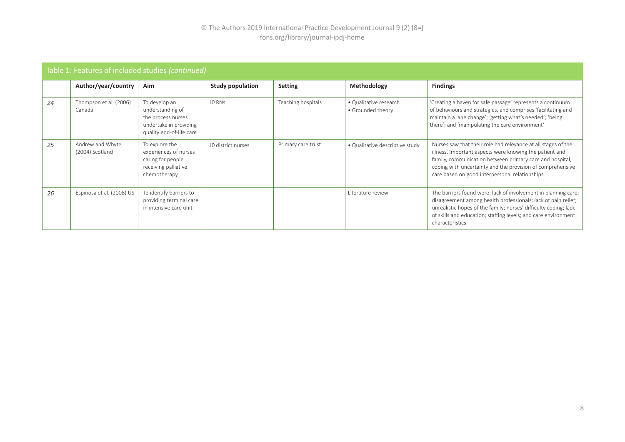| Table 1: Features of included studies (continued) |                                     |                                                                                                               |                         |                    |                                             |                                                                                                                                                                                                                                                                                                      |
|---------------------------------------------------|-------------------------------------|---------------------------------------------------------------------------------------------------------------|-------------------------|--------------------|---------------------------------------------|------------------------------------------------------------------------------------------------------------------------------------------------------------------------------------------------------------------------------------------------------------------------------------------------------|
|                                                   | Author/year/country                 | Aim                                                                                                           | <b>Study population</b> | <b>Setting</b>     | <b>Methodology</b>                          | <b>Findings</b>                                                                                                                                                                                                                                                                                      |
| 24                                                | Thompson et al. (2006)<br>Canada    | To develop an<br>understanding of<br>the process nurses<br>undertake in providing<br>quality end-of-life care | <b>10 RNs</b>           | Teaching hospitals | • Qualitative research<br>• Grounded theory | 'Creating a haven for safe passage' represents a continuum<br>of behaviours and strategies, and comprises 'facilitating and<br>maintain a lane change'; 'getting what's needed'; 'being<br>there'; and 'manipulating the care environment'                                                           |
| 25                                                | Andrew and Whyte<br>(2004) Scotland | To explore the<br>experiences of nurses<br>caring for people<br>receiving palliative<br>chemotherapy          | 10 district nurses      | Primary care trust | • Qualitative descriptive study             | Nurses saw that their role had relevance at all stages of the<br>illness. Important aspects were knowing the patient and<br>family, communication between primary care and hospital,<br>coping with uncertainty and the provision of comprehensive<br>care based on good interpersonal relationships |
| 26                                                | Espinosa et al. (2008) US           | To identify barriers to<br>providing terminal care<br>in intensive care unit                                  |                         |                    | Literature review                           | The barriers found were: lack of involvement in planning care;<br>disagreement among health professionals; lack of pain relief;<br>unrealistic hopes of the family; nurses' difficulty coping; lack<br>of skills and education; staffing levels; and care environment<br>characteristics             |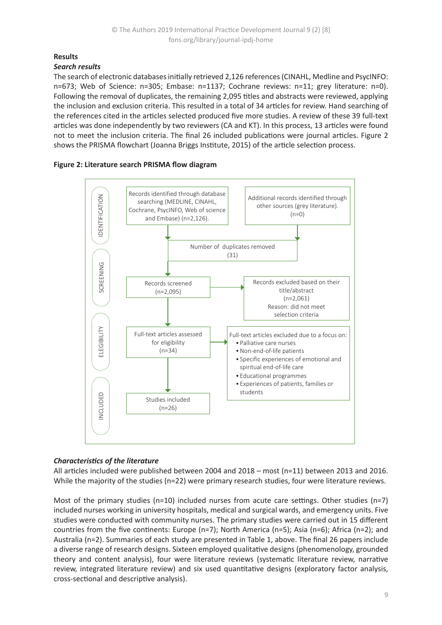# **Results**

#### *Search results*

The search of electronic databases initially retrieved 2,126 references (CINAHL, Medline and PsycINFO: n=673; Web of Science: n=305; Embase: n=1137; Cochrane reviews: n=11; grey literature: n=0). Following the removal of duplicates, the remaining 2,095 titles and abstracts were reviewed, applying the inclusion and exclusion criteria. This resulted in a total of 34 articles for review. Hand searching of the references cited in the articles selected produced five more studies. A review of these 39 full-text articles was done independently by two reviewers (CA and KT). In this process, 13 articles were found not to meet the inclusion criteria. The final 26 included publications were journal articles. Figure 2 shows the PRISMA flowchart (Joanna Briggs Institute, 2015) of the article selection process.





### *Characteristics of the literature*

All articles included were published between 2004 and 2018 – most (n=11) between 2013 and 2016. While the majority of the studies (n=22) were primary research studies, four were literature reviews.

Most of the primary studies (n=10) included nurses from acute care settings. Other studies (n=7) included nurses working in university hospitals, medical and surgical wards, and emergency units. Five studies were conducted with community nurses. The primary studies were carried out in 15 different countries from the five continents: Europe (n=7); North America (n=5); Asia (n=6); Africa (n=2); and Australia (n=2). Summaries of each study are presented in Table 1, above. The final 26 papers include a diverse range of research designs. Sixteen employed qualitative designs (phenomenology, grounded theory and content analysis), four were literature reviews (systematic literature review, narrative review, integrated literature review) and six used quantitative designs (exploratory factor analysis, cross-sectional and descriptive analysis).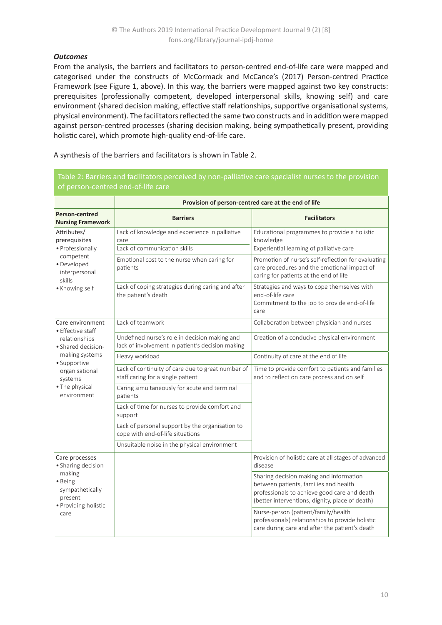# *Outcomes*

From the analysis, the barriers and facilitators to person-centred end-of-life care were mapped and categorised under the constructs of McCormack and McCance's (2017) Person-centred Practice Framework (see Figure 1, above). In this way, the barriers were mapped against two key constructs: prerequisites (professionally competent, developed interpersonal skills, knowing self) and care environment (shared decision making, effective staff relationships, supportive organisational systems, physical environment). The facilitators reflected the same two constructs and in addition were mapped against person-centred processes (sharing decision making, being sympathetically present, providing holistic care), which promote high-quality end-of-life care.

A synthesis of the barriers and facilitators is shown in Table 2.

| or person-centred end-or-life care                                      |                                                                                                   |                                                                                                                                                                                     |  |  |  |  |
|-------------------------------------------------------------------------|---------------------------------------------------------------------------------------------------|-------------------------------------------------------------------------------------------------------------------------------------------------------------------------------------|--|--|--|--|
|                                                                         | Provision of person-centred care at the end of life                                               |                                                                                                                                                                                     |  |  |  |  |
| Person-centred<br><b>Nursing Framework</b>                              | <b>Barriers</b>                                                                                   | <b>Facilitators</b>                                                                                                                                                                 |  |  |  |  |
| Attributes/<br>prerequisites<br>· Professionally                        | Lack of knowledge and experience in palliative<br>care<br>Lack of communication skills            | Educational programmes to provide a holistic<br>knowledge<br>Experiential learning of palliative care                                                                               |  |  |  |  |
| competent<br>· Developed<br>interpersonal<br>skills                     | Emotional cost to the nurse when caring for<br>patients                                           | Promotion of nurse's self-reflection for evaluating<br>care procedures and the emotional impact of<br>caring for patients at the end of life                                        |  |  |  |  |
| • Knowing self                                                          | Lack of coping strategies during caring and after<br>the patient's death                          | Strategies and ways to cope themselves with<br>end-of-life care<br>Commitment to the job to provide end-of-life<br>care                                                             |  |  |  |  |
| Care environment<br>• Effective staff                                   | Lack of teamwork                                                                                  | Collaboration between physician and nurses                                                                                                                                          |  |  |  |  |
| relationships<br>· Shared decision-                                     | Undefined nurse's role in decision making and<br>lack of involvement in patient's decision making | Creation of a conducive physical environment                                                                                                                                        |  |  |  |  |
| making systems<br>• Supportive                                          | Heavy workload                                                                                    | Continuity of care at the end of life                                                                                                                                               |  |  |  |  |
| organisational<br>systems                                               | Lack of continuity of care due to great number of<br>staff caring for a single patient            | Time to provide comfort to patients and families<br>and to reflect on care process and on self                                                                                      |  |  |  |  |
| • The physical<br>environment                                           | Caring simultaneously for acute and terminal<br>patients                                          |                                                                                                                                                                                     |  |  |  |  |
|                                                                         | Lack of time for nurses to provide comfort and<br>support                                         |                                                                                                                                                                                     |  |  |  |  |
|                                                                         | Lack of personal support by the organisation to<br>cope with end-of-life situations               |                                                                                                                                                                                     |  |  |  |  |
|                                                                         | Unsuitable noise in the physical environment                                                      |                                                                                                                                                                                     |  |  |  |  |
| Care processes<br>• Sharing decision                                    |                                                                                                   | Provision of holistic care at all stages of advanced<br>disease                                                                                                                     |  |  |  |  |
| making<br>· Being<br>sympathetically<br>present<br>· Providing holistic |                                                                                                   | Sharing decision making and information<br>between patients, families and health<br>professionals to achieve good care and death<br>(better interventions, dignity, place of death) |  |  |  |  |
| care                                                                    |                                                                                                   | Nurse-person (patient/family/health<br>professionals) relationships to provide holistic<br>care during care and after the patient's death                                           |  |  |  |  |

of person-centred end-of-life care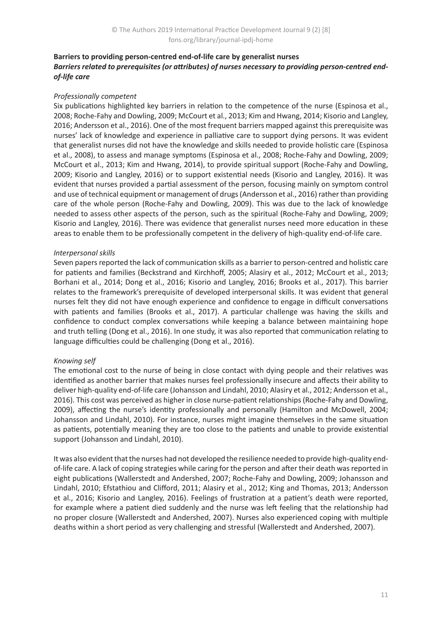### **Barriers to providing person-centred end-of-life care by generalist nurses** *Barriers related to prerequisites (or attributes) of nurses necessary to providing person-centred endof-life care*

### *Professionally competent*

Six publications highlighted key barriers in relation to the competence of the nurse (Espinosa et al., 2008; Roche-Fahy and Dowling, 2009; McCourt et al., 2013; Kim and Hwang, 2014; Kisorio and Langley, 2016; Andersson et al., 2016). One of the most frequent barriers mapped against this prerequisite was nurses' lack of knowledge and experience in palliative care to support dying persons. It was evident that generalist nurses did not have the knowledge and skills needed to provide holistic care (Espinosa et al., 2008), to assess and manage symptoms (Espinosa et al., 2008; Roche-Fahy and Dowling, 2009; McCourt et al., 2013; Kim and Hwang, 2014), to provide spiritual support (Roche-Fahy and Dowling, 2009; Kisorio and Langley, 2016) or to support existential needs (Kisorio and Langley, 2016). It was evident that nurses provided a partial assessment of the person, focusing mainly on symptom control and use of technical equipment or management of drugs (Andersson et al., 2016) rather than providing care of the whole person (Roche-Fahy and Dowling, 2009). This was due to the lack of knowledge needed to assess other aspects of the person, such as the spiritual (Roche-Fahy and Dowling, 2009; Kisorio and Langley, 2016). There was evidence that generalist nurses need more education in these areas to enable them to be professionally competent in the delivery of high-quality end-of-life care.

#### *Interpersonal skills*

Seven papers reported the lack of communication skills as a barrier to person-centred and holistic care for patients and families (Beckstrand and Kirchhoff, 2005; Alasiry et al., 2012; McCourt et al., 2013; Borhani et al., 2014; Dong et al., 2016; Kisorio and Langley, 2016; Brooks et al., 2017). This barrier relates to the framework's prerequisite of developed interpersonal skills. It was evident that general nurses felt they did not have enough experience and confidence to engage in difficult conversations with patients and families (Brooks et al., 2017). A particular challenge was having the skills and confidence to conduct complex conversations while keeping a balance between maintaining hope and truth telling (Dong et al., 2016). In one study, it was also reported that communication relating to language difficulties could be challenging (Dong et al., 2016).

### *Knowing self*

The emotional cost to the nurse of being in close contact with dying people and their relatives was identified as another barrier that makes nurses feel professionally insecure and affects their ability to deliver high-quality end-of-life care (Johansson and Lindahl, 2010; Alasiry et al., 2012; Andersson et al., 2016). This cost was perceived as higher in close nurse-patient relationships (Roche-Fahy and Dowling, 2009), affecting the nurse's identity professionally and personally (Hamilton and McDowell, 2004; Johansson and Lindahl, 2010). For instance, nurses might imagine themselves in the same situation as patients, potentially meaning they are too close to the patients and unable to provide existential support (Johansson and Lindahl, 2010).

It was also evident that the nurses had not developed the resilience needed to provide high-quality endof-life care. A lack of coping strategies while caring for the person and after their death was reported in eight publications (Wallerstedt and Andershed, 2007; Roche-Fahy and Dowling, 2009; Johansson and Lindahl, 2010; Efstathiou and Clifford, 2011; Alasiry et al., 2012; King and Thomas, 2013; Andersson et al., 2016; Kisorio and Langley, 2016). Feelings of frustration at a patient's death were reported, for example where a patient died suddenly and the nurse was left feeling that the relationship had no proper closure (Wallerstedt and Andershed, 2007). Nurses also experienced coping with multiple deaths within a short period as very challenging and stressful (Wallerstedt and Andershed, 2007).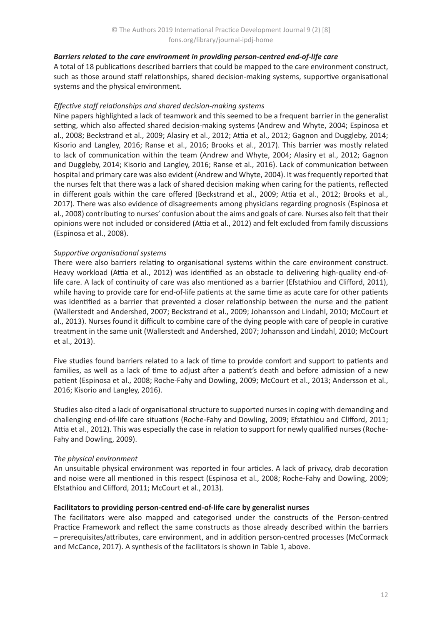#### *Barriers related to the care environment in providing person-centred end-of-life care*

A total of 18 publications described barriers that could be mapped to the care environment construct, such as those around staff relationships, shared decision-making systems, supportive organisational systems and the physical environment.

#### *Effective staff relationships and shared decision-making systems*

Nine papers highlighted a lack of teamwork and this seemed to be a frequent barrier in the generalist setting, which also affected shared decision-making systems (Andrew and Whyte, 2004; Espinosa et al., 2008; Beckstrand et al., 2009; Alasiry et al., 2012; Attia et al., 2012; Gagnon and Duggleby, 2014; Kisorio and Langley, 2016; Ranse et al., 2016; Brooks et al., 2017). This barrier was mostly related to lack of communication within the team (Andrew and Whyte, 2004; Alasiry et al., 2012; Gagnon and Duggleby, 2014; Kisorio and Langley, 2016; Ranse et al., 2016). Lack of communication between hospital and primary care was also evident (Andrew and Whyte, 2004). It was frequently reported that the nurses felt that there was a lack of shared decision making when caring for the patients, reflected in different goals within the care offered (Beckstrand et al., 2009; Attia et al., 2012; Brooks et al., 2017). There was also evidence of disagreements among physicians regarding prognosis (Espinosa et al., 2008) contributing to nurses' confusion about the aims and goals of care. Nurses also felt that their opinions were not included or considered (Attia et al., 2012) and felt excluded from family discussions (Espinosa et al., 2008).

#### *Supportive organisational systems*

There were also barriers relating to organisational systems within the care environment construct. Heavy workload (Attia et al., 2012) was identified as an obstacle to delivering high-quality end-oflife care. A lack of continuity of care was also mentioned as a barrier (Efstathiou and Clifford, 2011), while having to provide care for end-of-life patients at the same time as acute care for other patients was identified as a barrier that prevented a closer relationship between the nurse and the patient (Wallerstedt and Andershed, 2007; Beckstrand et al., 2009; Johansson and Lindahl, 2010; McCourt et al., 2013). Nurses found it difficult to combine care of the dying people with care of people in curative treatment in the same unit (Wallerstedt and Andershed, 2007; Johansson and Lindahl, 2010; McCourt et al., 2013).

Five studies found barriers related to a lack of time to provide comfort and support to patients and families, as well as a lack of time to adjust after a patient's death and before admission of a new patient (Espinosa et al., 2008; Roche-Fahy and Dowling, 2009; McCourt et al., 2013; Andersson et al., 2016; Kisorio and Langley, 2016).

Studies also cited a lack of organisational structure to supported nurses in coping with demanding and challenging end-of-life care situations (Roche-Fahy and Dowling, 2009; Efstathiou and Clifford, 2011; Attia et al., 2012). This was especially the case in relation to support for newly qualified nurses (Roche-Fahy and Dowling, 2009).

#### *The physical environment*

An unsuitable physical environment was reported in four articles. A lack of privacy, drab decoration and noise were all mentioned in this respect (Espinosa et al., 2008; Roche-Fahy and Dowling, 2009; Efstathiou and Clifford, 2011; McCourt et al., 2013).

### **Facilitators to providing person-centred end-of-life care by generalist nurses**

The facilitators were also mapped and categorised under the constructs of the Person-centred Practice Framework and reflect the same constructs as those already described within the barriers – prerequisites/attributes, care environment, and in addition person-centred processes (McCormack and McCance, 2017). A synthesis of the facilitators is shown in Table 1, above.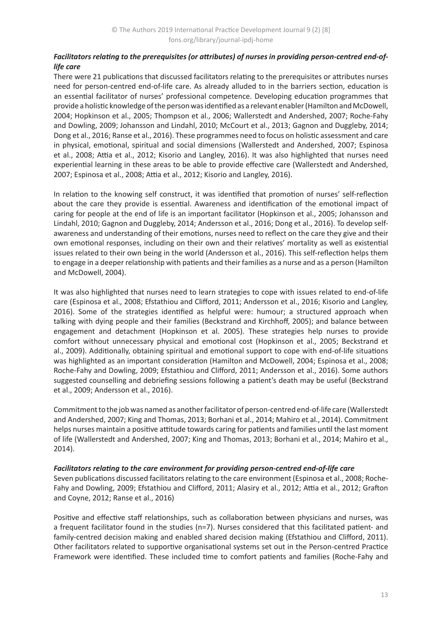# *Facilitators relating to the prerequisites (or attributes) of nurses in providing person-centred end-oflife care*

There were 21 publications that discussed facilitators relating to the prerequisites or attributes nurses need for person-centred end-of-life care. As already alluded to in the barriers section, education is an essential facilitator of nurses' professional competence. Developing education programmes that provide a holistic knowledge of the person was identified as a relevant enabler (Hamilton and McDowell, 2004; Hopkinson et al., 2005; Thompson et al., 2006; Wallerstedt and Andershed, 2007; Roche-Fahy and Dowling, 2009; Johansson and Lindahl, 2010; McCourt et al., 2013; Gagnon and Duggleby, 2014; Dong et al., 2016; Ranse et al., 2016). These programmes need to focus on holistic assessment and care in physical, emotional, spiritual and social dimensions (Wallerstedt and Andershed, 2007; Espinosa et al., 2008; Attia et al., 2012; Kisorio and Langley, 2016). It was also highlighted that nurses need experiential learning in these areas to be able to provide effective care (Wallerstedt and Andershed, 2007; Espinosa et al., 2008; Attia et al., 2012; Kisorio and Langley, 2016).

In relation to the knowing self construct, it was identified that promotion of nurses' self-reflection about the care they provide is essential. Awareness and identification of the emotional impact of caring for people at the end of life is an important facilitator (Hopkinson et al., 2005; Johansson and Lindahl, 2010; Gagnon and Duggleby, 2014; Andersson et al., 2016; Dong et al., 2016). To develop selfawareness and understanding of their emotions, nurses need to reflect on the care they give and their own emotional responses, including on their own and their relatives' mortality as well as existential issues related to their own being in the world (Andersson et al., 2016). This self-reflection helps them to engage in a deeper relationship with patients and their families as a nurse and as a person (Hamilton and McDowell, 2004).

It was also highlighted that nurses need to learn strategies to cope with issues related to end-of-life care (Espinosa et al., 2008; Efstathiou and Clifford, 2011; Andersson et al., 2016; Kisorio and Langley, 2016). Some of the strategies identified as helpful were: humour; a structured approach when talking with dying people and their families (Beckstrand and Kirchhoff, 2005); and balance between engagement and detachment (Hopkinson et al. 2005). These strategies help nurses to provide comfort without unnecessary physical and emotional cost (Hopkinson et al., 2005; Beckstrand et al., 2009). Additionally, obtaining spiritual and emotional support to cope with end-of-life situations was highlighted as an important consideration (Hamilton and McDowell, 2004; Espinosa et al., 2008; Roche-Fahy and Dowling, 2009; Efstathiou and Clifford, 2011; Andersson et al., 2016). Some authors suggested counselling and debriefing sessions following a patient's death may be useful (Beckstrand et al., 2009; Andersson et al., 2016).

Commitment to the job was named as another facilitator of person-centred end-of-life care (Wallerstedt and Andershed, 2007; King and Thomas, 2013; Borhani et al., 2014; Mahiro et al., 2014). Commitment helps nurses maintain a positive attitude towards caring for patients and families until the last moment of life (Wallerstedt and Andershed, 2007; King and Thomas, 2013; Borhani et al., 2014; Mahiro et al., 2014).

### *Facilitators relating to the care environment for providing person-centred end-of-life care*

Seven publications discussed facilitators relating to the care environment (Espinosa et al., 2008; Roche-Fahy and Dowling, 2009; Efstathiou and Clifford, 2011; Alasiry et al., 2012; Attia et al., 2012; Grafton and Coyne, 2012; Ranse et al., 2016)

Positive and effective staff relationships, such as collaboration between physicians and nurses, was a frequent facilitator found in the studies (n=7). Nurses considered that this facilitated patient- and family-centred decision making and enabled shared decision making (Efstathiou and Clifford, 2011). Other facilitators related to supportive organisational systems set out in the Person-centred Practice Framework were identified. These included time to comfort patients and families (Roche-Fahy and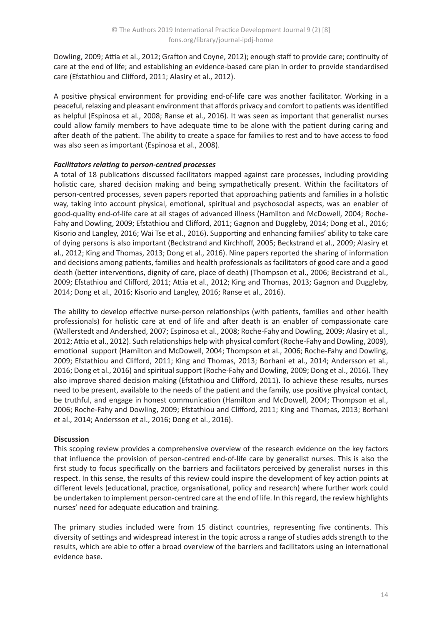Dowling, 2009; Attia et al., 2012; Grafton and Coyne, 2012); enough staff to provide care; continuity of care at the end of life; and establishing an evidence-based care plan in order to provide standardised care (Efstathiou and Clifford, 2011; Alasiry et al., 2012).

A positive physical environment for providing end-of-life care was another facilitator. Working in a peaceful, relaxing and pleasant environment that affords privacy and comfort to patients was identified as helpful (Espinosa et al., 2008; Ranse et al., 2016). It was seen as important that generalist nurses could allow family members to have adequate time to be alone with the patient during caring and after death of the patient. The ability to create a space for families to rest and to have access to food was also seen as important (Espinosa et al., 2008).

### *Facilitators relating to person-centred processes*

A total of 18 publications discussed facilitators mapped against care processes, including providing holistic care, shared decision making and being sympathetically present. Within the facilitators of person-centred processes, seven papers reported that approaching patients and families in a holistic way, taking into account physical, emotional, spiritual and psychosocial aspects, was an enabler of good-quality end-of-life care at all stages of advanced illness (Hamilton and McDowell, 2004; Roche-Fahy and Dowling, 2009; Efstathiou and Clifford, 2011; Gagnon and Duggleby, 2014; Dong et al., 2016; Kisorio and Langley, 2016; Wai Tse et al., 2016). Supporting and enhancing families' ability to take care of dying persons is also important (Beckstrand and Kirchhoff, 2005; Beckstrand et al., 2009; Alasiry et al., 2012; King and Thomas, 2013; Dong et al., 2016). Nine papers reported the sharing of information and decisions among patients, families and health professionals as facilitators of good care and a good death (better interventions, dignity of care, place of death) (Thompson et al., 2006; Beckstrand et al., 2009; Efstathiou and Clifford, 2011; Attia et al., 2012; King and Thomas, 2013; Gagnon and Duggleby, 2014; Dong et al., 2016; Kisorio and Langley, 2016; Ranse et al., 2016).

The ability to develop effective nurse-person relationships (with patients, families and other health professionals) for holistic care at end of life and after death is an enabler of compassionate care (Wallerstedt and Andershed, 2007; Espinosa et al., 2008; Roche-Fahy and Dowling, 2009; Alasiry et al., 2012; Attia et al., 2012). Such relationships help with physical comfort (Roche-Fahy and Dowling, 2009), emotional support (Hamilton and McDowell, 2004; Thompson et al., 2006; Roche-Fahy and Dowling, 2009; Efstathiou and Clifford, 2011; King and Thomas, 2013; Borhani et al., 2014; Andersson et al., 2016; Dong et al., 2016) and spiritual support (Roche-Fahy and Dowling, 2009; Dong et al., 2016). They also improve shared decision making (Efstathiou and Clifford, 2011). To achieve these results, nurses need to be present, available to the needs of the patient and the family, use positive physical contact, be truthful, and engage in honest communication (Hamilton and McDowell, 2004; Thompson et al., 2006; Roche-Fahy and Dowling, 2009; Efstathiou and Clifford, 2011; King and Thomas, 2013; Borhani et al., 2014; Andersson et al., 2016; Dong et al., 2016).

### **Discussion**

This scoping review provides a comprehensive overview of the research evidence on the key factors that influence the provision of person-centred end-of-life care by generalist nurses. This is also the first study to focus specifically on the barriers and facilitators perceived by generalist nurses in this respect. In this sense, the results of this review could inspire the development of key action points at different levels (educational, practice, organisational, policy and research) where further work could be undertaken to implement person-centred care at the end of life. In this regard, the review highlights nurses' need for adequate education and training.

The primary studies included were from 15 distinct countries, representing five continents. This diversity of settings and widespread interest in the topic across a range of studies adds strength to the results, which are able to offer a broad overview of the barriers and facilitators using an international evidence base.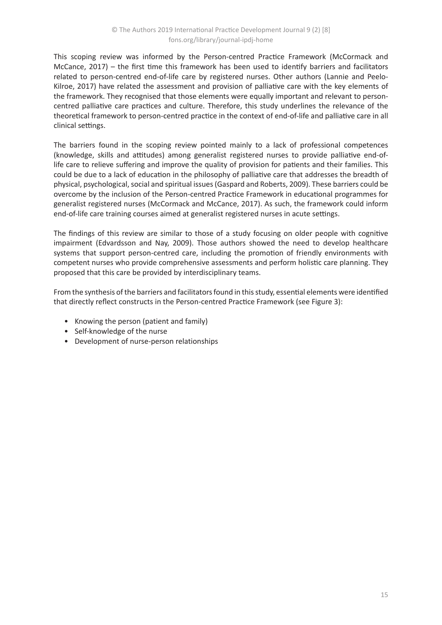This scoping review was informed by the Person-centred Practice Framework (McCormack and McCance, 2017) – the first time this framework has been used to identify barriers and facilitators related to person-centred end-of-life care by registered nurses. Other authors (Lannie and Peelo-Kilroe, 2017) have related the assessment and provision of palliative care with the key elements of the framework. They recognised that those elements were equally important and relevant to personcentred palliative care practices and culture. Therefore, this study underlines the relevance of the theoretical framework to person-centred practice in the context of end-of-life and palliative care in all clinical settings.

The barriers found in the scoping review pointed mainly to a lack of professional competences (knowledge, skills and attitudes) among generalist registered nurses to provide palliative end-oflife care to relieve suffering and improve the quality of provision for patients and their families. This could be due to a lack of education in the philosophy of palliative care that addresses the breadth of physical, psychological, social and spiritual issues (Gaspard and Roberts, 2009). These barriers could be overcome by the inclusion of the Person-centred Practice Framework in educational programmes for generalist registered nurses (McCormack and McCance, 2017). As such, the framework could inform end-of-life care training courses aimed at generalist registered nurses in acute settings.

The findings of this review are similar to those of a study focusing on older people with cognitive impairment (Edvardsson and Nay, 2009). Those authors showed the need to develop healthcare systems that support person-centred care, including the promotion of friendly environments with competent nurses who provide comprehensive assessments and perform holistic care planning. They proposed that this care be provided by interdisciplinary teams.

From the synthesis of the barriers and facilitators found in this study, essential elements were identified that directly reflect constructs in the Person-centred Practice Framework (see Figure 3):

- Knowing the person (patient and family)
- Self-knowledge of the nurse
- Development of nurse-person relationships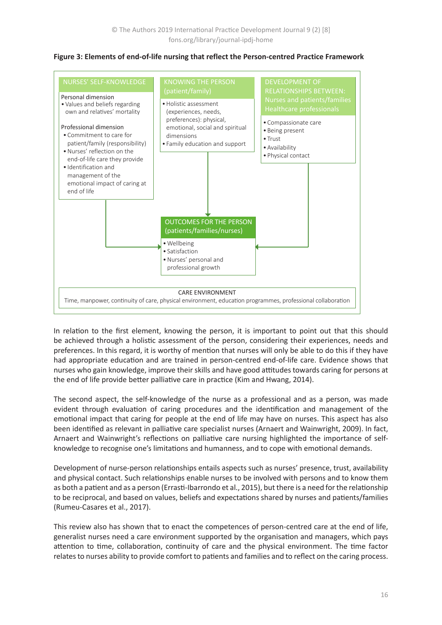

#### **Figure 3: Elements of end-of-life nursing that reflect the Person-centred Practice Framework**

In relation to the first element, knowing the person, it is important to point out that this should be achieved through a holistic assessment of the person, considering their experiences, needs and preferences. In this regard, it is worthy of mention that nurses will only be able to do this if they have had appropriate education and are trained in person-centred end-of-life care. Evidence shows that nurses who gain knowledge, improve their skills and have good attitudes towards caring for persons at the end of life provide better palliative care in practice (Kim and Hwang, 2014).

The second aspect, the self-knowledge of the nurse as a professional and as a person, was made evident through evaluation of caring procedures and the identification and management of the emotional impact that caring for people at the end of life may have on nurses. This aspect has also been identified as relevant in palliative care specialist nurses (Arnaert and Wainwright, 2009). In fact, Arnaert and Wainwright's reflections on palliative care nursing highlighted the importance of selfknowledge to recognise one's limitations and humanness, and to cope with emotional demands.

Development of nurse-person relationships entails aspects such as nurses' presence, trust, availability and physical contact. Such relationships enable nurses to be involved with persons and to know them as both a patient and as a person (Errasti-Ibarrondo et al., 2015), but there is a need for the relationship to be reciprocal, and based on values, beliefs and expectations shared by nurses and patients/families (Rumeu-Casares et al., 2017).

This review also has shown that to enact the competences of person-centred care at the end of life, generalist nurses need a care environment supported by the organisation and managers, which pays attention to time, collaboration, continuity of care and the physical environment. The time factor relates to nurses ability to provide comfort to patients and families and to reflect on the caring process.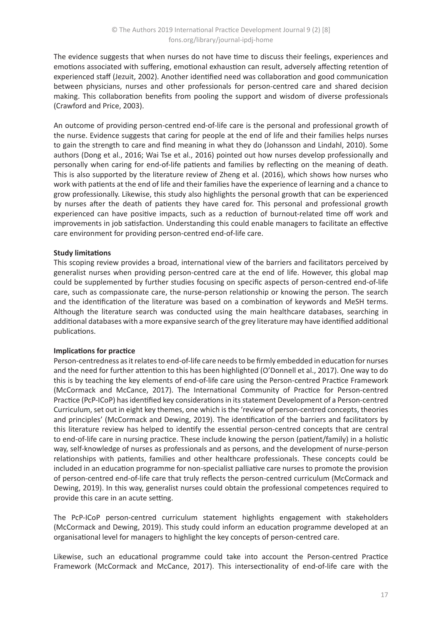The evidence suggests that when nurses do not have time to discuss their feelings, experiences and emotions associated with suffering, emotional exhaustion can result, adversely affecting retention of experienced staff (Jezuit, 2002). Another identified need was collaboration and good communication between physicians, nurses and other professionals for person-centred care and shared decision making. This collaboration benefits from pooling the support and wisdom of diverse professionals (Crawford and Price, 2003).

An outcome of providing person-centred end-of-life care is the personal and professional growth of the nurse. Evidence suggests that caring for people at the end of life and their families helps nurses to gain the strength to care and find meaning in what they do (Johansson and Lindahl, 2010). Some authors (Dong et al., 2016; Wai Tse et al., 2016) pointed out how nurses develop professionally and personally when caring for end-of-life patients and families by reflecting on the meaning of death. This is also supported by the literature review of Zheng et al. (2016), which shows how nurses who work with patients at the end of life and their families have the experience of learning and a chance to grow professionally. Likewise, this study also highlights the personal growth that can be experienced by nurses after the death of patients they have cared for. This personal and professional growth experienced can have positive impacts, such as a reduction of burnout-related time off work and improvements in job satisfaction. Understanding this could enable managers to facilitate an effective care environment for providing person-centred end-of-life care.

### **Study limitations**

This scoping review provides a broad, international view of the barriers and facilitators perceived by generalist nurses when providing person-centred care at the end of life. However, this global map could be supplemented by further studies focusing on specific aspects of person-centred end-of-life care, such as compassionate care, the nurse-person relationship or knowing the person. The search and the identification of the literature was based on a combination of keywords and MeSH terms. Although the literature search was conducted using the main healthcare databases, searching in additional databases with a more expansive search of the grey literature may have identified additional publications.

### **Implications for practice**

Person-centredness as it relates to end-of-life care needs to be firmly embedded in education for nurses and the need for further attention to this has been highlighted (O'Donnell et al., 2017). One way to do this is by teaching the key elements of end-of-life care using the Person-centred Practice Framework (McCormack and McCance, 2017). The International Community of Practice for Person-centred Practice (PcP-ICoP) has identified key considerations in its statement Development of a Person-centred Curriculum, set out in eight key themes, one which is the 'review of person-centred concepts, theories and principles' (McCormack and Dewing, 2019). The identification of the barriers and facilitators by this literature review has helped to identify the essential person-centred concepts that are central to end-of-life care in nursing practice. These include knowing the person (patient/family) in a holistic way, self-knowledge of nurses as professionals and as persons, and the development of nurse-person relationships with patients, families and other healthcare professionals. These concepts could be included in an education programme for non-specialist palliative care nurses to promote the provision of person-centred end-of-life care that truly reflects the person-centred curriculum (McCormack and Dewing, 2019). In this way, generalist nurses could obtain the professional competences required to provide this care in an acute setting.

The PcP-ICoP person-centred curriculum statement highlights engagement with stakeholders (McCormack and Dewing, 2019). This study could inform an education programme developed at an organisational level for managers to highlight the key concepts of person-centred care.

Likewise, such an educational programme could take into account the Person-centred Practice Framework (McCormack and McCance, 2017). This intersectionality of end-of-life care with the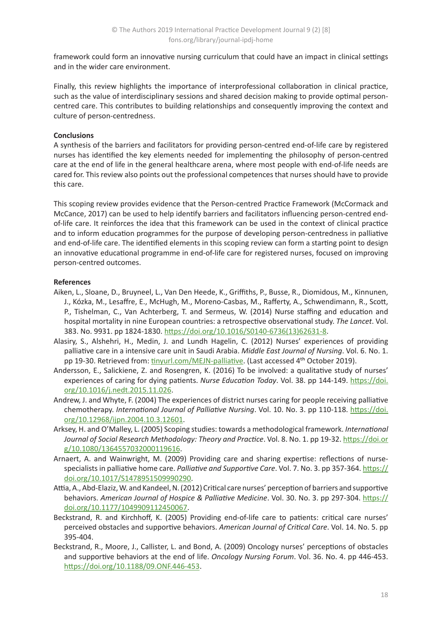framework could form an innovative nursing curriculum that could have an impact in clinical settings and in the wider care environment.

Finally, this review highlights the importance of interprofessional collaboration in clinical practice, such as the value of interdisciplinary sessions and shared decision making to provide optimal personcentred care. This contributes to building relationships and consequently improving the context and culture of person-centredness.

### **Conclusions**

A synthesis of the barriers and facilitators for providing person-centred end-of-life care by registered nurses has identified the key elements needed for implementing the philosophy of person-centred care at the end of life in the general healthcare arena, where most people with end-of-life needs are cared for. This review also points out the professional competences that nurses should have to provide this care.

This scoping review provides evidence that the Person-centred Practice Framework (McCormack and McCance, 2017) can be used to help identify barriers and facilitators influencing person-centred endof-life care. It reinforces the idea that this framework can be used in the context of clinical practice and to inform education programmes for the purpose of developing person-centredness in palliative and end-of-life care. The identified elements in this scoping review can form a starting point to design an innovative educational programme in end-of-life care for registered nurses, focused on improving person-centred outcomes.

#### **References**

- Aiken, L., Sloane, D., Bruyneel, L., Van Den Heede, K., Griffiths, P., Busse, R., Diomidous, M., Kinnunen, J., Kózka, M., Lesaffre, E., McHugh, M., Moreno-Casbas, M., Rafferty, A., Schwendimann, R., Scott, P., Tishelman, C., Van Achterberg, T. and Sermeus, W. (2014) Nurse staffing and education and hospital mortality in nine European countries: a retrospective observational study. *The Lancet*. Vol. 383. No. 9931. pp 1824-1830. [https://doi.org/10.1016/S0140-6736\(13\)62631-8](https://doi.org/10.1016/S0140-6736(13)62631-8).
- Alasiry, S., Alshehri, H., Medin, J. and Lundh Hagelin, C. (2012) Nurses' experiences of providing palliative care in a intensive care unit in Saudi Arabia. *Middle East Journal of Nursing*. Vol. 6. No. 1. pp 19-30. Retrieved from: [tinyurl.com/MEJN-palliative.](http://tinyurl.com/MEJN-palliative) (Last accessed 4<sup>th</sup> October 2019).
- Andersson, E., Salickiene, Z. and Rosengren, K. (2016) To be involved: a qualitative study of nurses' experiences of caring for dying patients. *Nurse Education Today*. Vol. 38. pp 144-149. [https://doi.](https://doi.org/10.1016/j.nedt.2015.11.026) [org/10.1016/j.nedt.2015.11.026](https://doi.org/10.1016/j.nedt.2015.11.026).
- Andrew, J. and Whyte, F. (2004) The experiences of district nurses caring for people receiving palliative chemotherapy. *International Journal of Palliative Nursing*. Vol. 10. No. 3. pp 110-118. [https://doi.](https://doi.org/10.12968/ijpn.2004.10.3.12601) [org/10.12968/ijpn.2004.10.3.12601](https://doi.org/10.12968/ijpn.2004.10.3.12601).
- Arksey, H. and O'Malley, L. (2005) Scoping studies: towards a methodological framework. *International Journal of Social Research Methodology: Theory and Practice*. Vol. 8. No. 1. pp 19-32. [https://doi.or](https://doi.org/10.1080/1364557032000119616) [g/10.1080/1364557032000119616](https://doi.org/10.1080/1364557032000119616).
- Arnaert, A. and Wainwright, M. (2009) Providing care and sharing expertise: reflections of nursespecialists in palliative home care. *Palliative and Supportive Care*. Vol. 7. No. 3. pp 357-364. [https://](https://doi.org/10.1017/S1478951509990290) [doi.org/10.1017/S1478951509990290](https://doi.org/10.1017/S1478951509990290).
- Attia, A., Abd-Elaziz, W. and Kandeel, N. (2012) Critical care nurses' perception of barriers and supportive behaviors. *American Journal of Hospice & Palliative Medicine*. Vol. 30. No. 3. pp 297-304. [https://](https://doi.org/10.1177/1049909112450067) [doi.org/10.1177/1049909112450067](https://doi.org/10.1177/1049909112450067).
- Beckstrand, R. and Kirchhoff, K. (2005) Providing end-of-life care to patients: critical care nurses' perceived obstacles and supportive behaviors. *American Journal of Critical Care*. Vol. 14. No. 5. pp 395-404.
- Beckstrand, R., Moore, J., Callister, L. and Bond, A. (2009) Oncology nurses' perceptions of obstacles and supportive behaviors at the end of life. *Oncology Nursing Forum*. Vol. 36. No. 4. pp 446-453. <https://doi.org/10.1188/09.ONF.446-453>.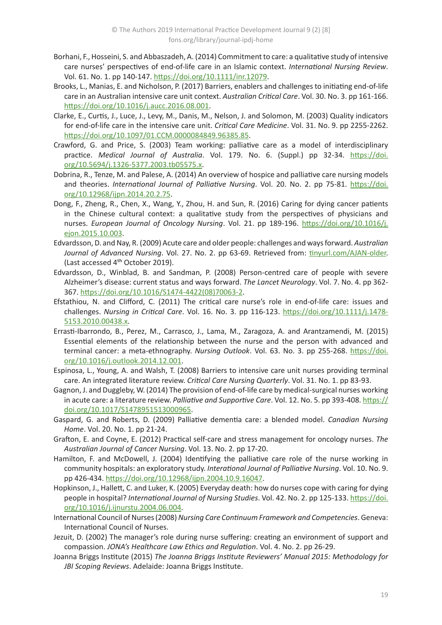- Borhani, F., Hosseini, S. and Abbaszadeh, A. (2014) Commitment to care: a qualitative study of intensive care nurses' perspectives of end-of-life care in an Islamic context. *International Nursing Review*. Vol. 61. No. 1. pp 140-147.<https://doi.org/10.1111/inr.12079>.
- Brooks, L., Manias, E. and Nicholson, P. (2017) Barriers, enablers and challenges to initiating end-of-life care in an Australian intensive care unit context. *Australian Critical Care*. Vol. 30. No. 3. pp 161-166. <https://doi.org/10.1016/j.aucc.2016.08.001>.
- Clarke, E., Curtis, J., Luce, J., Levy, M., Danis, M., Nelson, J. and Solomon, M. (2003) Quality indicators for end-of-life care in the intensive care unit. *Critical Care Medicine*. Vol. 31. No. 9. pp 2255-2262. <https://doi.org/10.1097/01.CCM.0000084849.96385.85>.
- Crawford, G. and Price, S. (2003) Team working: palliative care as a model of interdisciplinary practice. *Medical Journal of Australia*. Vol. 179. No. 6. (Suppl.) pp 32-34. [https://doi.](https://doi.org/10.5694/j.1326-5377.2003.tb05575.x) [org/10.5694/j.1326-5377.2003.tb05575.x](https://doi.org/10.5694/j.1326-5377.2003.tb05575.x).
- Dobrina, R., Tenze, M. and Palese, A. (2014) An overview of hospice and palliative care nursing models and theories. *International Journal of Palliative Nursing*. Vol. 20. No. 2. pp 75-81. [https://doi.](https://doi.org/10.12968/ijpn.2014.20.2.75) [org/10.12968/ijpn.2014.20.2.75](https://doi.org/10.12968/ijpn.2014.20.2.75).
- Dong, F., Zheng, R., Chen, X., Wang, Y., Zhou, H. and Sun, R. (2016) Caring for dying cancer patients in the Chinese cultural context: a qualitative study from the perspectives of physicians and nurses. *European Journal of Oncology Nursing*. Vol. 21. pp 189-196. [https://doi.org/10.1016/j.](https://doi.org/10.1016/j.ejon.2015.10.003) [ejon.2015.10.003](https://doi.org/10.1016/j.ejon.2015.10.003).
- Edvardsson, D. and Nay, R. (2009) Acute care and older people: challenges and ways forward. *Australian*  Journal of Advanced Nursing. Vol. 27. No. 2. pp 63-69. Retrieved from: [tinyurl.com/AJAN-older](https://tinyurl.com/AJAN-older). (Last accessed 4<sup>th</sup> October 2019).
- Edvardsson, D., Winblad, B. and Sandman, P. (2008) Person-centred care of people with severe Alzheimer's disease: current status and ways forward. *The Lancet Neurology*. Vol. 7. No. 4. pp 362- 367. [https://doi.org/10.1016/S1474-4422\(08\)70063-2](https://doi.org/10.1016/S1474-4422(08)70063-2).
- Efstathiou, N. and Clifford, C. (2011) The critical care nurse's role in end-of-life care: issues and challenges. *Nursing in Critical Care*. Vol. 16. No. 3. pp 116-123. [https://doi.org/10.1111/j.1478-](https://doi.org/10.1111/j.1478-5153.2010.00438.x) [5153.2010.00438.x](https://doi.org/10.1111/j.1478-5153.2010.00438.x).
- Errasti-Ibarrondo, B., Perez, M., Carrasco, J., Lama, M., Zaragoza, A. and Arantzamendi, M. (2015) Essential elements of the relationship between the nurse and the person with advanced and terminal cancer: a meta-ethnography. *Nursing Outlook*. Vol. 63. No. 3. pp 255-268. [https://doi.](https://doi.org/10.1016/j.outlook.2014.12.001) [org/10.1016/j.outlook.2014.12.001](https://doi.org/10.1016/j.outlook.2014.12.001).
- Espinosa, L., Young, A. and Walsh, T. (2008) Barriers to intensive care unit nurses providing terminal care. An integrated literature review. *Critical Care Nursing Quarterly*. Vol. 31. No. 1. pp 83-93.
- Gagnon, J. and Duggleby, W. (2014) The provision of end-of-life care by medical-surgical nurses working in acute care: a literature review. *Palliative and Supportive Care*. Vol. 12. No. 5. pp 393-408. [https://](https://doi.org/10.1017/S1478951513000965) [doi.org/10.1017/S1478951513000965](https://doi.org/10.1017/S1478951513000965).
- Gaspard, G. and Roberts, D. (2009) Palliative dementia care: a blended model. *Canadian Nursing Home*. Vol. 20. No. 1. pp 21-24.
- Grafton, E. and Coyne, E. (2012) Practical self-care and stress management for oncology nurses. *The Australian Journal of Cancer Nursing*. Vol. 13. No. 2. pp 17-20.
- Hamilton, F. and McDowell, J. (2004) Identifying the palliative care role of the nurse working in community hospitals: an exploratory study. *Interational Journal of Palliative Nursing*. Vol. 10. No. 9. pp 426-434. <https://doi.org/10.12968/ijpn.2004.10.9.16047>.
- Hopkinson, J., Hallett, C. and Luker, K. (2005) Everyday death: how do nurses cope with caring for dying people in hospital? *International Journal of Nursing Studies*. Vol. 42. No. 2. pp 125-133. [https://doi.](https://doi.org/10.1016/j.ijnurstu.2004.06.004) [org/10.1016/j.ijnurstu.2004.06.004](https://doi.org/10.1016/j.ijnurstu.2004.06.004).
- International Council of Nurses (2008) *Nursing Care Continuum Framework and Competencies*. Geneva: International Council of Nurses.
- Jezuit, D. (2002) The manager's role during nurse suffering: creating an environment of support and compassion. *JONA's Healthcare Law Ethics and Regulation*. Vol. 4. No. 2. pp 26-29.
- Joanna Briggs Institute (2015) *The Joanna Briggs Institute Reviewers' Manual 2015: Methodology for JBI Scoping Reviews*. Adelaide: Joanna Briggs Institute.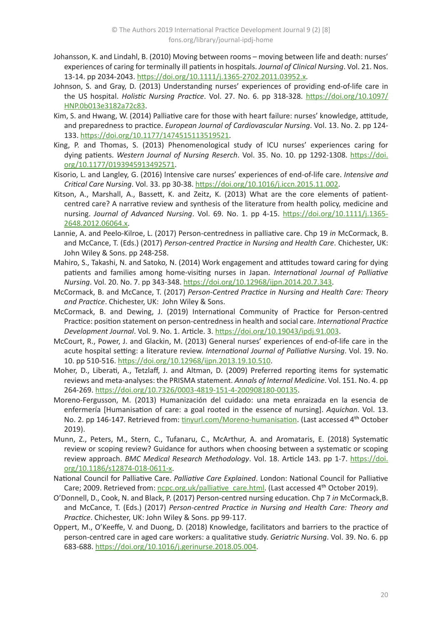- Johansson, K. and Lindahl, B. (2010) Moving between rooms moving between life and death: nurses' experiences of caring for terminally ill patients in hospitals. *Journal of Clinical Nursing*. Vol. 21. Nos. 13-14. pp 2034-2043. <https://doi.org/10.1111/j.1365-2702.2011.03952.x>.
- Johnson, S. and Gray, D. (2013) Understanding nurses' experiences of providing end-of-life care in the US hospital. *Holistic Nursing Practice*. Vol. 27. No. 6. pp 318-328. [https://doi.org/10.1097/](https://doi.org/10.1097/HNP.0b013e3182a72c83) [HNP.0b013e3182a72c83](https://doi.org/10.1097/HNP.0b013e3182a72c83).
- Kim, S. and Hwang, W. (2014) Palliative care for those with heart failure: nurses' knowledge, attitude, and preparedness to practice. *European Journal of Cardiovascular Nursing*. Vol. 13. No. 2. pp 124- 133.<https://doi.org/10.1177/1474515113519521>.
- King, P. and Thomas, S. (2013) Phenomenological study of ICU nurses' experiences caring for dying patients. Western Journal of Nursing Reserch. Vol. 35. No. 10. pp 1292-1308. [https://doi.](https://doi.org/10.1177/0193945913492571) [org/10.1177/0193945913492571](https://doi.org/10.1177/0193945913492571).
- Kisorio, L. and Langley, G. (2016) Intensive care nurses' experiences of end-of-life care. *Intensive and Critical Care Nursing*. Vol. 33. pp 30-38.<https://doi.org/10.1016/j.iccn.2015.11.002>.
- Kitson, A., Marshall, A., Bassett, K. and Zeitz, K. (2013) What are the core elements of patientcentred care? A narrative review and synthesis of the literature from health policy, medicine and nursing. *Journal of Advanced Nursing*. Vol. 69. No. 1. pp 4-15. [https://doi.org/10.1111/j.1365-](https://doi.org/10.1111/j.1365-2648.2012.06064.x) [2648.2012.06064.x](https://doi.org/10.1111/j.1365-2648.2012.06064.x).
- Lannie, A. and Peelo-Kilroe, L. (2017) Person-centredness in palliative care. Chp 19 *in* McCormack, B. and McCance, T. (Eds.) (2017) *Person-centred Practice in Nursing and Health Care*. Chichester, UK: John Wiley & Sons. pp 248-258.
- Mahiro, S., Takashi, N. and Satoko, N. (2014) Work engagement and attitudes toward caring for dying patients and families among home-visiting nurses in Japan. *International Journal of Palliative Nursing*. Vol. 20. No. 7. pp 343-348.<https://doi.org/10.12968/ijpn.2014.20.7.343>.
- McCormack, B. and McCance, T. (2017) *Person-Centred Practice in Nursing and Health Care: Theory and Practice*. Chichester, UK: John Wiley & Sons.
- McCormack, B. and Dewing, J. (2019) International Community of Practice for Person-centred Practice: position statement on person-centredness in health and social care. *International Practice Development Journal*. Vol. 9. No. 1. Article. 3. <https://doi.org/10.19043/ipdj.91.003>.
- McCourt, R., Power, J. and Glackin, M. (2013) General nurses' experiences of end-of-life care in the acute hospital setting: a literature review. *International Journal of Palliative Nursing*. Vol. 19. No. 10. pp 510-516. <https://doi.org/10.12968/ijpn.2013.19.10.510>.
- Moher, D., Liberati, A., Tetzlaff, J. and Altman, D. (2009) Preferred reporting items for systematic reviews and meta-analyses: the PRISMA statement. *Annals of Internal Medicine*. Vol. 151. No. 4. pp 264-269. <https://doi.org/10.7326/0003-4819-151-4-200908180-00135>.
- Moreno-Fergusson, M. (2013) Humanización del cuidado: una meta enraizada en la esencia de enfermería [Humanisation of care: a goal rooted in the essence of nursing]. *Aquichan*. Vol. 13. No. 2. pp 146-147. Retrieved from: [tinyurl.com/Moreno-humanisation](http://tinyurl.com/Moreno-humanisation). (Last accessed 4<sup>th</sup> October 2019).
- Munn, Z., Peters, M., Stern, C., Tufanaru, C., McArthur, A. and Aromataris, E. (2018) Systematic review or scoping review? Guidance for authors when choosing between a systematic or scoping review approach. *BMC Medical Research Methodology*. Vol. 18. Article 143. pp 1-7. [https://doi.](https://doi.org/10.1186/s12874-018-0611-x) [org/10.1186/s12874-018-0611-x](https://doi.org/10.1186/s12874-018-0611-x).
- National Council for Palliative Care. *Palliative Care Explained*. London: National Council for Palliative Care; 2009. Retrieved from: [ncpc.org.uk/palliative\\_care.html](http://www.ncpc.org.uk/palliative_care.html). (Last accessed 4<sup>th</sup> October 2019).
- O'Donnell, D., Cook, N. and Black, P. (2017) Person-centred nursing education. Chp 7 *in* McCormack,B. and McCance, T. (Eds.) (2017) *Person-centred Practice in Nursing and Health Care: Theory and Practice*. Chichester, UK: John Wiley & Sons. pp 99-117.
- Oppert, M., O'Keeffe, V. and Duong, D. (2018) Knowledge, facilitators and barriers to the practice of person-centred care in aged care workers: a qualitative study. *Geriatric Nursing*. Vol. 39. No. 6. pp 683-688. <https://doi.org/10.1016/j.gerinurse.2018.05.004>.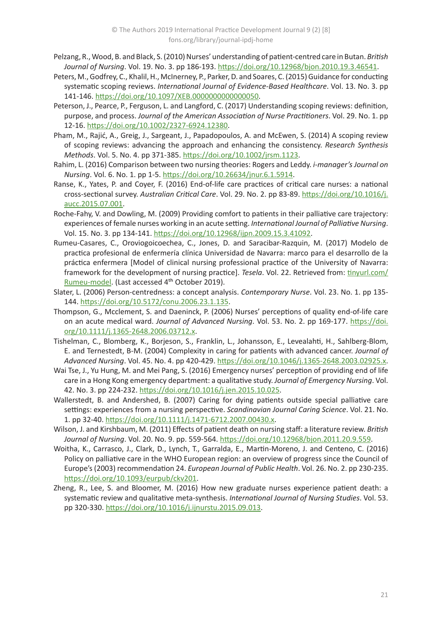- Pelzang, R., Wood, B. and Black, S. (2010) Nurses' understanding of patient-centred care in Butan. *British Journal of Nursing*. Vol. 19. No. 3. pp 186-193. <https://doi.org/10.12968/bjon.2010.19.3.46541>.
- Peters, M., Godfrey, C., Khalil, H., McInerney, P., Parker, D. and Soares, C. (2015) Guidance for conducting systematic scoping reviews. *International Journal of Evidence-Based Healthcare*. Vol. 13. No. 3. pp 141-146. <https://doi.org/10.1097/XEB.0000000000000050>.
- Peterson, J., Pearce, P., Ferguson, L. and Langford, C. (2017) Understanding scoping reviews: definition, purpose, and process. *Journal of the American Association of Nurse Practitioners*. Vol. 29. No. 1. pp 12-16.<https://doi.org/10.1002/2327-6924.12380>.
- Pham, M., Rajić, A., Greig, J., Sargeant, J., Papadopoulos, A. and McEwen, S. (2014) A scoping review of scoping reviews: advancing the approach and enhancing the consistency. *Research Synthesis Methods*. Vol. 5. No. 4. pp 371-385. <https://doi.org/10.1002/jrsm.1123>.
- Rahim, L. (2016) Comparison between two nursing theories: Rogers and Leddy. *i-manager's Journal on Nursing*. Vol. 6. No. 1. pp 1-5.<https://doi.org/10.26634/jnur.6.1.5914>.
- Ranse, K., Yates, P. and Coyer, F. (2016) End-of-life care practices of critical care nurses: a national cross-sectional survey. *Australian Critical Care*. Vol. 29. No. 2. pp 83-89. [https://doi.org/10.1016/j.](https://doi.org/10.1016/j.aucc.2015.07.001) [aucc.2015.07.001](https://doi.org/10.1016/j.aucc.2015.07.001).
- Roche-Fahy, V. and Dowling, M. (2009) Providing comfort to patients in their palliative care trajectory: experiences of female nurses working in an acute setting. *International Journal of Palliative Nursing*. Vol. 15. No. 3. pp 134-141.<https://doi.org/10.12968/ijpn.2009.15.3.41092>.
- Rumeu-Casares, C., Oroviogoicoechea, C., Jones, D. and Saracibar-Razquin, M. (2017) Modelo de practica profesional de enfermería clínica Universidad de Navarra: marco para el desarrollo de la práctica enfermera [Model of clinical nursing professional practice of the University of Navarra: framework for the development of nursing practice]. *Tesela*. Vol. 22. Retrieved from: [tinyurl.com/](http://tinyurl.com/Rumeu-model) [Rumeu-model.](http://tinyurl.com/Rumeu-model) (Last accessed 4<sup>th</sup> October 2019).
- Slater, L. (2006) Person-centredness: a concept analysis. *Contemporary Nurse*. Vol. 23. No. 1. pp 135- 144.<https://doi.org/10.5172/conu.2006.23.1.135>.
- Thompson, G., Mcclement, S. and Daeninck, P. (2006) Nurses' perceptions of quality end-of-life care on an acute medical ward. *Journal of Advanced Nursing*. Vol. 53. No. 2. pp 169-177. [https://doi.](https://doi.org/10.1111/j.1365-2648.2006.03712.x) [org/10.1111/j.1365-2648.2006.03712.x](https://doi.org/10.1111/j.1365-2648.2006.03712.x).
- Tishelman, C., Blomberg, K., Borjeson, S., Franklin, L., Johansson, E., Levealahti, H., Sahlberg-Blom, E. and Ternestedt, B-M. (2004) Complexity in caring for patients with advanced cancer. *Journal of Advanced Nursing*. Vol. 45. No. 4. pp 420-429. <https://doi.org/10.1046/j.1365-2648.2003.02925.x>.
- Wai Tse, J., Yu Hung, M. and Mei Pang, S. (2016) Emergency nurses' perception of providing end of life care in a Hong Kong emergency department: a qualitative study. *Journal of Emergency Nursing*. Vol. 42. No. 3. pp 224-232. <https://doi.org/10.1016/j.jen.2015.10.025>.
- Wallerstedt, B. and Andershed, B. (2007) Caring for dying patients outside special palliative care settings: experiences from a nursing perspective. *Scandinavian Journal Caring Science*. Vol. 21. No. 1. pp 32-40.<https://doi.org/10.1111/j.1471-6712.2007.00430.x>.
- Wilson, J. and Kirshbaum, M. (2011) Effects of patient death on nursing staff: a literature review. *British Journal of Nursing*. Vol. 20. No. 9. pp. 559-564.<https://doi.org/10.12968/bjon.2011.20.9.559>.
- Woitha, K., Carrasco, J., Clark, D., Lynch, T., Garralda, E., Martin-Moreno, J. and Centeno, C. (2016) Policy on palliative care in the WHO European region: an overview of progress since the Council of Europe's (2003) recommendation 24. *European Journal of Public Health*. Vol. 26. No. 2. pp 230-235. <https://doi.org/10.1093/eurpub/ckv201>.
- Zheng, R., Lee, S. and Bloomer, M. (2016) How new graduate nurses experience patient death: a systematic review and qualitative meta-synthesis. *International Journal of Nursing Studies*. Vol. 53. pp 320-330. <https://doi.org/10.1016/j.ijnurstu.2015.09.013>.